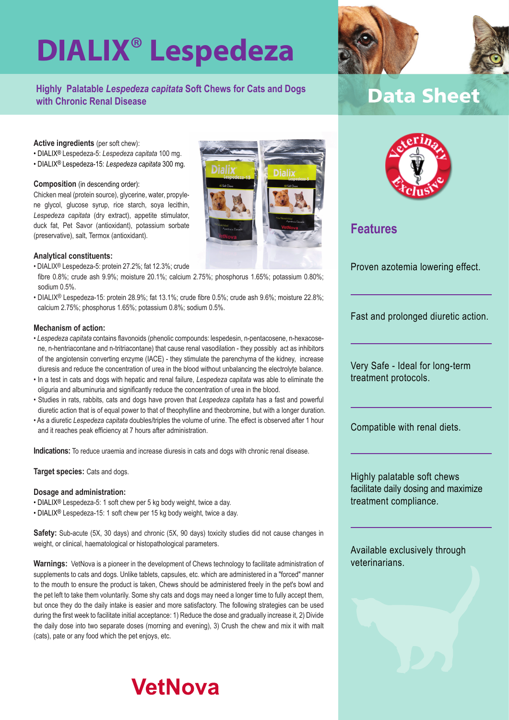# **DIALIX**® **Lespedeza**

### **Highly Palatable** *Lespedeza capitata* **Soft Chews for Cats and Dogs with Chronic Renal Disease**

### **Data Sheet**

#### **Active ingredients** (per soft chew):

- DIALIX® Lespedeza-5: *Lespedeza capitata* 100 mg.
- DIALIX® Lespedeza-15: *Lespedeza capitata* 300 mg.

#### **Composition** (in descending order):

Chicken meal (protein source), glycerine, water, propylene glycol, glucose syrup, rice starch, soya lecithin, *Lespedeza capitata* (dry extract), appetite stimulator, duck fat, Pet Savor (antioxidant), potassium sorbate (preservative), salt, Termox (antioxidant).

#### **Analytical constituents:**

- DIALIX® Lespedeza-5: protein 27.2%; fat 12.3%; crude
- fibre 0.8%; crude ash 9.9%; moisture 20.1%; calcium 2.75%; phosphorus 1.65%; potassium 0.80%; sodium 0.5%.
- DIALIX® Lespedeza-15: protein 28.9%; fat 13.1%; crude fibre 0.5%; crude ash 9.6%; moisture 22.8%; calcium 2.75%; phosphorus 1.65%; potassium 0.8%; sodium 0.5%.

#### **Mechanism of action:**

- *Lespedeza capitata* contains flavonoids (phenolic compounds: lespedesin, n-pentacosene, n-hexacosene, n-hentriacontane and n-tritriacontane) that cause renal vasodilation - they possibly act as inhibitors of the angiotensin converting enzyme (IACE) - they stimulate the parenchyma of the kidney, increase diuresis and reduce the concentration of urea in the blood without unbalancing the electrolyte balance.
- In a test in cats and dogs with hepatic and renal failure, *Lespedeza capitata* was able to eliminate the oliguria and albuminuria and significantly reduce the concentration of urea in the blood.
- Studies in rats, rabbits, cats and dogs have proven that *Lespedeza capitata* has a fast and powerful diuretic action that is of equal power to that of theophylline and theobromine, but with a longer duration.
- As a diuretic *Lespedeza capitata* doubles/triples the volume of urine. The effect is observed after 1 hour and it reaches peak efficiency at 7 hours after administration.

**Indications:** To reduce uraemia and increase diuresis in cats and dogs with chronic renal disease.

#### **Target species:** Cats and dogs.

#### **Dosage and administration:**

- DIALIX® Lespedeza-5: 1 soft chew per 5 kg body weight, twice a day.
- DIALIX® Lespedeza-15: 1 soft chew per 15 kg body weight, twice a day.

**Safety:** Sub-acute (5X, 30 days) and chronic (5X, 90 days) toxicity studies did not cause changes in weight, or clinical, haematological or histopathological parameters.

**Warnings:** VetNova is a pioneer in the development of Chews technology to facilitate administration of supplements to cats and dogs. Unlike tablets, capsules, etc. which are administered in a "forced" manner to the mouth to ensure the product is taken, Chews should be administered freely in the pet's bowl and the pet left to take them voluntarily. Some shy cats and dogs may need a longer time to fully accept them, but once they do the daily intake is easier and more satisfactory. The following strategies can be used during the first week to facilitate initial acceptance: 1) Reduce the dose and gradually increase it, 2) Divide the daily dose into two separate doses (morning and evening), 3) Crush the chew and mix it with malt (cats), pate or any food which the pet enjoys, etc.

## **VetNova**





### **Features**

Proven azotemia lowering effect.

Fast and prolonged diuretic action.

Very Safe - Ideal for long-term treatment protocols.

Compatible with renal diets.

Highly palatable soft chews facilitate daily dosing and maximize treatment compliance.

Available exclusively through veterinarians.